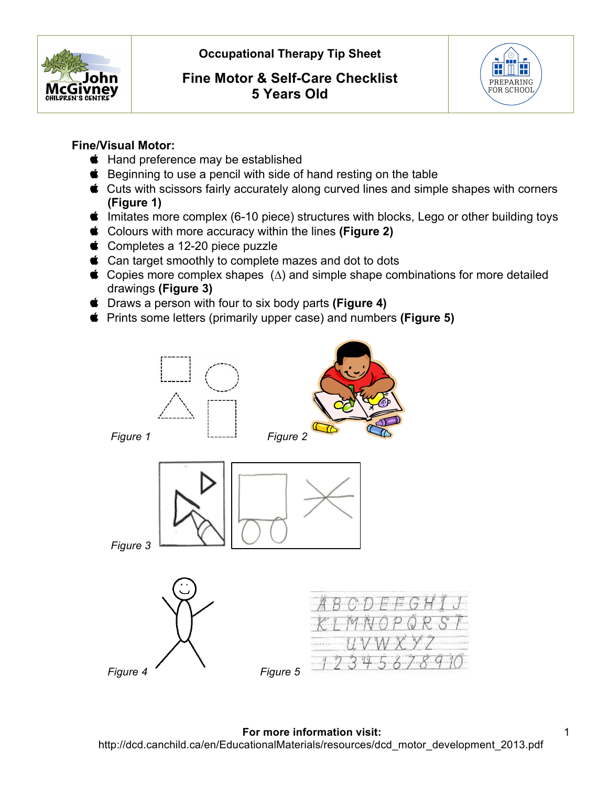

# **Fine Motor & Self-Care Checklist 5 Years Old**



### **Fine/Visual Motor:**

- **thand preference may be established**
- **■** Beginning to use a pencil with side of hand resting on the table
- Cuts with scissors fairly accurately along curved lines and simple shapes with corners **(Figure 1)**
- $\bullet$  Imitates more complex (6-10 piece) structures with blocks, Lego or other building toys
- Colours with more accuracy within the lines **(Figure 2)**
- Completes a 12-20 piece puzzle
- **Can target smoothly to complete mazes and dot to dots**
- $\bullet$  Copies more complex shapes ( $\Delta$ ) and simple shape combinations for more detailed drawings **(Figure 3)**
- Draws a person with four to six body parts **(Figure 4)**
- Prints some letters (primarily upper case) and numbers **(Figure 5)**